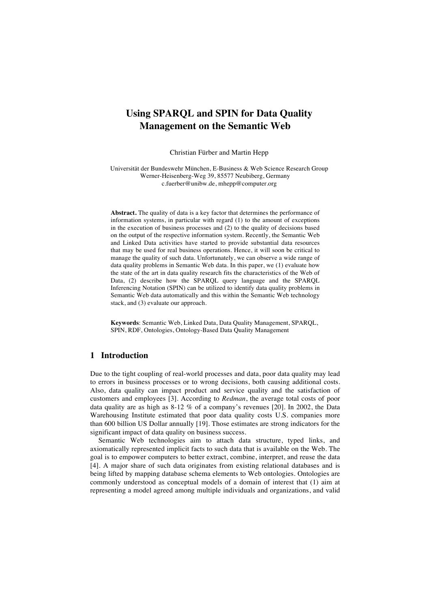# **Using SPARQL and SPIN for Data Quality Management on the Semantic Web**

Christian Fürber and Martin Hepp

Universität der Bundeswehr München, E-Business & Web Science Research Group Werner-Heisenberg-Weg 39, 85577 Neubiberg, Germany c.fuerber@unibw.de, mhepp@computer.org

**Abstract.** The quality of data is a key factor that determines the performance of information systems, in particular with regard (1) to the amount of exceptions in the execution of business processes and (2) to the quality of decisions based on the output of the respective information system. Recently, the Semantic Web and Linked Data activities have started to provide substantial data resources that may be used for real business operations. Hence, it will soon be critical to manage the quality of such data. Unfortunately, we can observe a wide range of data quality problems in Semantic Web data. In this paper, we (1) evaluate how the state of the art in data quality research fits the characteristics of the Web of Data, (2) describe how the SPARQL query language and the SPARQL Inferencing Notation (SPIN) can be utilized to identify data quality problems in Semantic Web data automatically and this within the Semantic Web technology stack, and (3) evaluate our approach.

**Keywords**: Semantic Web, Linked Data, Data Quality Management, SPARQL, SPIN, RDF, Ontologies, Ontology-Based Data Quality Management

# **1 Introduction**

Due to the tight coupling of real-world processes and data, poor data quality may lead to errors in business processes or to wrong decisions, both causing additional costs. Also, data quality can impact product and service quality and the satisfaction of customers and employees [3]. According to *Redman*, the average total costs of poor data quality are as high as 8-12 % of a company's revenues [20]. In 2002, the Data Warehousing Institute estimated that poor data quality costs U.S. companies more than 600 billion US Dollar annually [19]. Those estimates are strong indicators for the significant impact of data quality on business success.

Semantic Web technologies aim to attach data structure, typed links, and axiomatically represented implicit facts to such data that is available on the Web. The goal is to empower computers to better extract, combine, interpret, and reuse the data [4]. A major share of such data originates from existing relational databases and is being lifted by mapping database schema elements to Web ontologies. Ontologies are commonly understood as conceptual models of a domain of interest that (1) aim at representing a model agreed among multiple individuals and organizations, and valid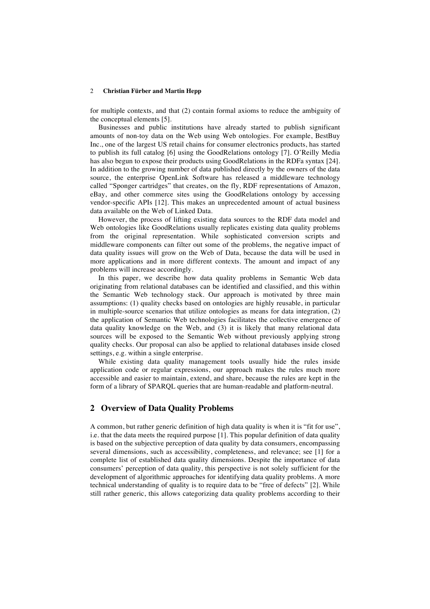for multiple contexts, and that (2) contain formal axioms to reduce the ambiguity of the conceptual elements [5].

Businesses and public institutions have already started to publish significant amounts of non-toy data on the Web using Web ontologies. For example, BestBuy Inc., one of the largest US retail chains for consumer electronics products, has started to publish its full catalog [6] using the GoodRelations ontology [7]. O'Reilly Media has also begun to expose their products using GoodRelations in the RDFa syntax [24]. In addition to the growing number of data published directly by the owners of the data source, the enterprise OpenLink Software has released a middleware technology called "Sponger cartridges" that creates, on the fly, RDF representations of Amazon, eBay, and other commerce sites using the GoodRelations ontology by accessing vendor-specific APIs [12]. This makes an unprecedented amount of actual business data available on the Web of Linked Data.

However, the process of lifting existing data sources to the RDF data model and Web ontologies like GoodRelations usually replicates existing data quality problems from the original representation. While sophisticated conversion scripts and middleware components can filter out some of the problems, the negative impact of data quality issues will grow on the Web of Data, because the data will be used in more applications and in more different contexts. The amount and impact of any problems will increase accordingly.

In this paper, we describe how data quality problems in Semantic Web data originating from relational databases can be identified and classified, and this within the Semantic Web technology stack. Our approach is motivated by three main assumptions: (1) quality checks based on ontologies are highly reusable, in particular in multiple-source scenarios that utilize ontologies as means for data integration, (2) the application of Semantic Web technologies facilitates the collective emergence of data quality knowledge on the Web, and (3) it is likely that many relational data sources will be exposed to the Semantic Web without previously applying strong quality checks. Our proposal can also be applied to relational databases inside closed settings, e.g. within a single enterprise.

While existing data quality management tools usually hide the rules inside application code or regular expressions, our approach makes the rules much more accessible and easier to maintain, extend, and share, because the rules are kept in the form of a library of SPARQL queries that are human-readable and platform-neutral.

# **2 Overview of Data Quality Problems**

A common, but rather generic definition of high data quality is when it is "fit for use", i.e. that the data meets the required purpose [1]. This popular definition of data quality is based on the subjective perception of data quality by data consumers, encompassing several dimensions, such as accessibility, completeness, and relevance; see [1] for a complete list of established data quality dimensions. Despite the importance of data consumers' perception of data quality, this perspective is not solely sufficient for the development of algorithmic approaches for identifying data quality problems. A more technical understanding of quality is to require data to be "free of defects" [2]. While still rather generic, this allows categorizing data quality problems according to their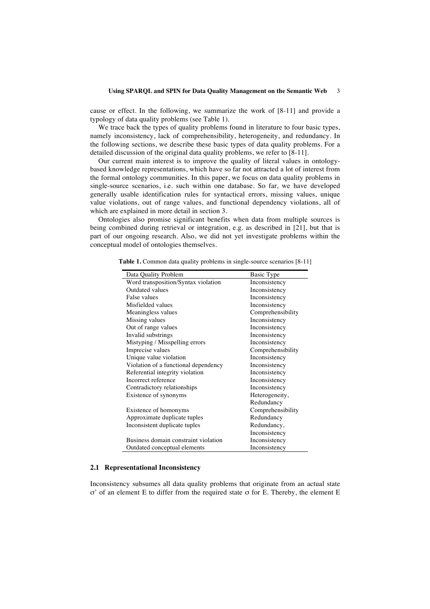cause or effect. In the following, we summarize the work of [8-11] and provide a typology of data quality problems (see Table 1).

We trace back the types of quality problems found in literature to four basic types, namely inconsistency, lack of comprehensibility, heterogeneity, and redundancy. In the following sections, we describe these basic types of data quality problems. For a detailed discussion of the original data quality problems, we refer to [8-11].

Our current main interest is to improve the quality of literal values in ontologybased knowledge representations, which have so far not attracted a lot of interest from the formal ontology communities. In this paper, we focus on data quality problems in single-source scenarios, i.e. such within one database. So far, we have developed generally usable identification rules for syntactical errors, missing values, unique value violations, out of range values, and functional dependency violations, all of which are explained in more detail in section 3.

Ontologies also promise significant benefits when data from multiple sources is being combined during retrieval or integration, e.g. as described in [21], but that is part of our ongoing research. Also, we did not yet investigate problems within the conceptual model of ontologies themselves.

| Data Quality Problem                 | <b>Basic Type</b> |
|--------------------------------------|-------------------|
| Word transposition/Syntax violation  | Inconsistency     |
| Outdated values                      | Inconsistency     |
| False values                         | Inconsistency     |
| Misfielded values                    | Inconsistency     |
| Meaningless values                   | Comprehensibility |
| Missing values                       | Inconsistency     |
| Out of range values                  | Inconsistency     |
| Invalid substrings                   | Inconsistency     |
| Mistyping / Misspelling errors       | Inconsistency     |
| Imprecise values                     | Comprehensibility |
| Unique value violation               | Inconsistency     |
| Violation of a functional dependency | Inconsistency     |
| Referential integrity violation      | Inconsistency     |
| Incorrect reference                  | Inconsistency     |
| Contradictory relationships          | Inconsistency     |
| Existence of synonyms                | Heterogeneity,    |
|                                      | Redundancy        |
| Existence of homonyms                | Comprehensibility |
| Approximate duplicate tuples         | Redundancy        |
| Inconsistent duplicate tuples        | Redundancy,       |
|                                      | Inconsistency     |
| Business domain constraint violation | Inconsistency     |
| Outdated conceptual elements         | Inconsistency     |

**Table 1.** Common data quality problems in single-source scenarios [8-11]

#### **2.1 Representational Inconsistency**

Inconsistency subsumes all data quality problems that originate from an actual state σ' of an element Ε to differ from the required state σ for Ε. Thereby, the element Ε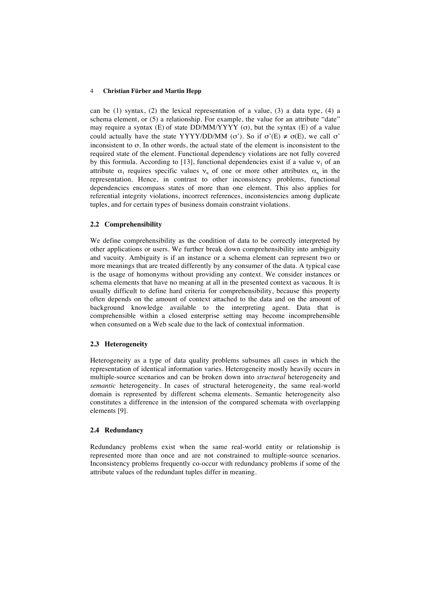can be (1) syntax, (2) the lexical representation of a value, (3) a data type, (4) a schema element, or (5) a relationship. For example, the value for an attribute "date" may require a syntax (E) of state  $DD/MM/YYY$  (σ), but the syntax (E) of a value could actually have the state YYYY/DD/MM ( $\sigma$ ). So if  $\sigma'(E) \neq \sigma(E)$ , we call  $\sigma'$ inconsistent to σ. In other words, the actual state of the element is inconsistent to the required state of the element. Functional dependency violations are not fully covered by this formula. According to [13], functional dependencies exist if a value  $v_1$  of an attribute  $\alpha_1$  requires specific values  $v_n$  of one or more other attributes  $\alpha_n$  in the representation. Hence, in contrast to other inconsistency problems, functional dependencies encompass states of more than one element. This also applies for referential integrity violations, incorrect references, inconsistencies among duplicate tuples, and for certain types of business domain constraint violations.

## **2.2 Comprehensibility**

We define comprehensibility as the condition of data to be correctly interpreted by other applications or users. We further break down comprehensibility into ambiguity and vacuity. Ambiguity is if an instance or a schema element can represent two or more meanings that are treated differently by any consumer of the data. A typical case is the usage of homonyms without providing any context. We consider instances or schema elements that have no meaning at all in the presented context as vacuous. It is usually difficult to define hard criteria for comprehensibility, because this property often depends on the amount of context attached to the data and on the amount of background knowledge available to the interpreting agent. Data that is comprehensible within a closed enterprise setting may become incomprehensible when consumed on a Web scale due to the lack of contextual information.

## **2.3 Heterogeneity**

Heterogeneity as a type of data quality problems subsumes all cases in which the representation of identical information varies. Heterogeneity mostly heavily occurs in multiple-source scenarios and can be broken down into *structural* heterogeneity and *semantic* heterogeneity. In cases of structural heterogeneity, the same real-world domain is represented by different schema elements. Semantic heterogeneity also constitutes a difference in the intension of the compared schemata with overlapping elements [9].

# **2.4 Redundancy**

Redundancy problems exist when the same real-world entity or relationship is represented more than once and are not constrained to multiple-source scenarios. Inconsistency problems frequently co-occur with redundancy problems if some of the attribute values of the redundant tuples differ in meaning.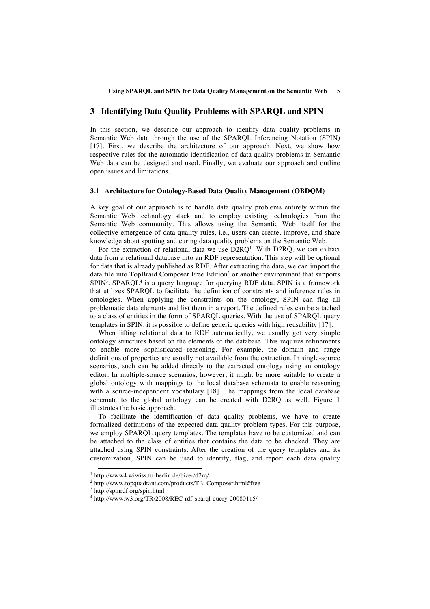## **3 Identifying Data Quality Problems with SPARQL and SPIN**

In this section, we describe our approach to identify data quality problems in Semantic Web data through the use of the SPARQL Inferencing Notation (SPIN) [17]. First, we describe the architecture of our approach. Next, we show how respective rules for the automatic identification of data quality problems in Semantic Web data can be designed and used. Finally, we evaluate our approach and outline open issues and limitations.

#### **3.1 Architecture for Ontology-Based Data Quality Management (OBDQM)**

A key goal of our approach is to handle data quality problems entirely within the Semantic Web technology stack and to employ existing technologies from the Semantic Web community. This allows using the Semantic Web itself for the collective emergence of data quality rules, i.e., users can create, improve, and share knowledge about spotting and curing data quality problems on the Semantic Web.

For the extraction of relational data we use  $D2RQ<sup>1</sup>$ . With  $D2RQ$ , we can extract data from a relational database into an RDF representation. This step will be optional for data that is already published as RDF. After extracting the data, we can import the data file into TopBraid Composer Free Edition<sup>2</sup> or another environment that supports SPIN<sup>3</sup>. SPARQL<sup>4</sup> is a query language for querying RDF data. SPIN is a framework that utilizes SPARQL to facilitate the definition of constraints and inference rules in ontologies. When applying the constraints on the ontology, SPIN can flag all problematic data elements and list them in a report. The defined rules can be attached to a class of entities in the form of SPARQL queries. With the use of SPARQL query templates in SPIN, it is possible to define generic queries with high reusability [17].

When lifting relational data to RDF automatically, we usually get very simple ontology structures based on the elements of the database. This requires refinements to enable more sophisticated reasoning. For example, the domain and range definitions of properties are usually not available from the extraction. In single-source scenarios, such can be added directly to the extracted ontology using an ontology editor. In multiple-source scenarios, however, it might be more suitable to create a global ontology with mappings to the local database schemata to enable reasoning with a source-independent vocabulary [18]. The mappings from the local database schemata to the global ontology can be created with D2RQ as well. Figure 1 illustrates the basic approach.

To facilitate the identification of data quality problems, we have to create formalized definitions of the expected data quality problem types. For this purpose, we employ SPARQL query templates. The templates have to be customized and can be attached to the class of entities that contains the data to be checked. They are attached using SPIN constraints. After the creation of the query templates and its customization, SPIN can be used to identify, flag, and report each data quality

 <sup>1</sup> http://www4.wiwiss.fu-berlin.de/bizer/d2rq/

<sup>2</sup> http://www.topquadrant.com/products/TB\_Composer.html#free

<sup>3</sup> http://spinrdf.org/spin.html

<sup>4</sup> http://www.w3.org/TR/2008/REC-rdf-sparql-query-20080115/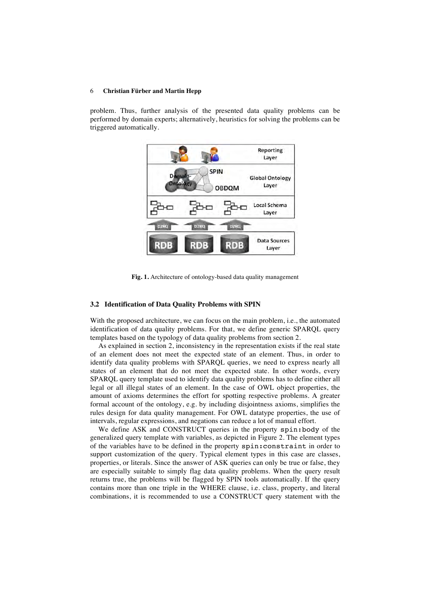problem. Thus, further analysis of the presented data quality problems can be performed by domain experts; alternatively, heuristics for solving the problems can be triggered automatically.



**Fig. 1.** Architecture of ontology-based data quality management

## **3.2 Identification of Data Quality Problems with SPIN**

With the proposed architecture, we can focus on the main problem, i.e., the automated identification of data quality problems. For that, we define generic SPARQL query templates based on the typology of data quality problems from section 2.

As explained in section 2, inconsistency in the representation exists if the real state of an element does not meet the expected state of an element. Thus, in order to identify data quality problems with SPARQL queries, we need to express nearly all states of an element that do not meet the expected state. In other words, every SPARQL query template used to identify data quality problems has to define either all legal or all illegal states of an element. In the case of OWL object properties, the amount of axioms determines the effort for spotting respective problems. A greater formal account of the ontology, e.g. by including disjointness axioms, simplifies the rules design for data quality management. For OWL datatype properties, the use of intervals, regular expressions, and negations can reduce a lot of manual effort.

We define ASK and CONSTRUCT queries in the property spin:body of the generalized query template with variables, as depicted in Figure 2. The element types of the variables have to be defined in the property spin:constraint in order to support customization of the query. Typical element types in this case are classes, properties, or literals. Since the answer of ASK queries can only be true or false, they are especially suitable to simply flag data quality problems. When the query result returns true, the problems will be flagged by SPIN tools automatically. If the query contains more than one triple in the WHERE clause, i.e. class, property, and literal combinations, it is recommended to use a CONSTRUCT query statement with the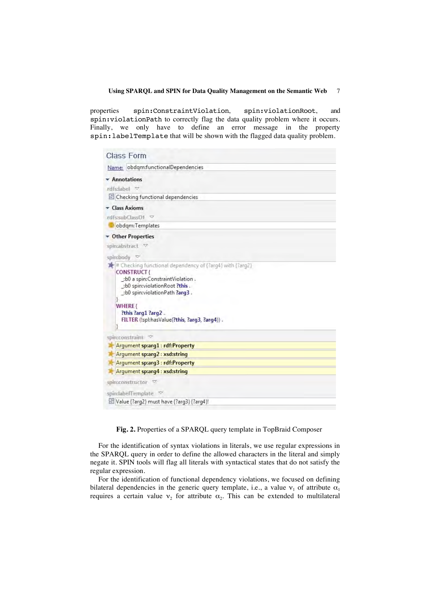#### **Using SPARQL and SPIN for Data Quality Management on the Semantic Web** 7

properties spin:ConstraintViolation, spin:violationRoot, and spin:violationPath to correctly flag the data quality problem where it occurs. Finally, we only have to define an error message in the property spin:labelTemplate that will be shown with the flagged data quality problem.

| <b>Class Form</b>                                                                                                                                                                                                                                                          |  |
|----------------------------------------------------------------------------------------------------------------------------------------------------------------------------------------------------------------------------------------------------------------------------|--|
| Name: obdqm:functionalDependencies                                                                                                                                                                                                                                         |  |
| <b>Exercise Annotations</b><br>rdfs:label <sub>V</sub>                                                                                                                                                                                                                     |  |
| Checking functional dependencies                                                                                                                                                                                                                                           |  |
| Class Axioms                                                                                                                                                                                                                                                               |  |
| rdfs:subClassOf<br>v                                                                                                                                                                                                                                                       |  |
| obdqm:Templates                                                                                                                                                                                                                                                            |  |
| • Other Properties                                                                                                                                                                                                                                                         |  |
| spin;abstract V                                                                                                                                                                                                                                                            |  |
| spin:body $\triangledown$                                                                                                                                                                                                                                                  |  |
| # Checking functional dependency of {?arg4} with {?arg2}<br><b>CONSTRUCT {</b><br>_:b0 a spin:ConstraintViolation.<br>:b0 spin:violationRoot ?this.<br>:b0 spin:violationPath ?arg3.<br><b>WHERE</b><br>?this ?arg1 ?arg2.<br>FILTER (!spl:hasValue(?this, ?arg3, ?arg4)). |  |
| spin:constraint V                                                                                                                                                                                                                                                          |  |
| Argument sp:arg1 : rdf:Property                                                                                                                                                                                                                                            |  |
| Argument sp:arg2 : xsd:string                                                                                                                                                                                                                                              |  |
| Argument sp:arg3 : rdf:Property                                                                                                                                                                                                                                            |  |
| Argument sp:arg4 : xsd:string                                                                                                                                                                                                                                              |  |
| spin:constructor                                                                                                                                                                                                                                                           |  |
| spin:labelTemplate $\nabla$                                                                                                                                                                                                                                                |  |
| Value {?arg2} must have {?arg3} {?arg4}!                                                                                                                                                                                                                                   |  |

## **Fig. 2.** Properties of a SPARQL query template in TopBraid Composer

For the identification of syntax violations in literals, we use regular expressions in the SPARQL query in order to define the allowed characters in the literal and simply negate it. SPIN tools will flag all literals with syntactical states that do not satisfy the regular expression.

For the identification of functional dependency violations, we focused on defining bilateral dependencies in the generic query template, i.e., a value  $v_1$  of attribute  $\alpha_1$ requires a certain value  $v_2$  for attribute  $\alpha_2$ . This can be extended to multilateral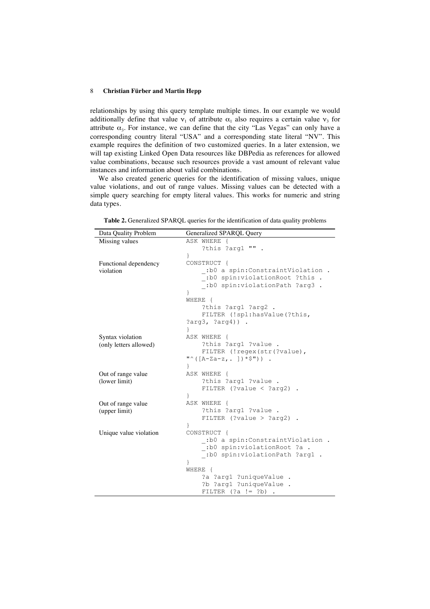relationships by using this query template multiple times. In our example we would additionally define that value  $v_1$  of attribute  $\alpha_1$  also requires a certain value  $v_3$  for attribute  $\alpha_3$ . For instance, we can define that the city "Las Vegas" can only have a corresponding country literal "USA" and a corresponding state literal "NV". This example requires the definition of two customized queries. In a later extension, we will tap existing Linked Open Data resources like DBPedia as references for allowed value combinations, because such resources provide a vast amount of relevant value instances and information about valid combinations.

We also created generic queries for the identification of missing values, unique value violations, and out of range values. Missing values can be detected with a simple query searching for empty literal values. This works for numeric and string data types.

| Data Quality Problem   | Generalized SPARQL Query            |  |
|------------------------|-------------------------------------|--|
| Missing values         | ASK WHERE {                         |  |
|                        | ?this ?arg1 "" .                    |  |
|                        | ł                                   |  |
| Functional dependency  | CONSTRUCT {                         |  |
| violation              | : b0 a spin: Constraint Violation . |  |
|                        | :b0 spin:violationRoot ?this .      |  |
|                        | .b0 spin:violationPath ?arg3.       |  |
|                        | ł                                   |  |
|                        | WHERE {                             |  |
|                        | ?this ?arg1 ?arg2.                  |  |
|                        | FILTER (!spl:hasValue(?this,        |  |
|                        | $2arg3, 2arg4)$ .                   |  |
|                        | ł                                   |  |
| Syntax violation       | ASK WHERE {                         |  |
| (only letters allowed) | ?this ?arg1 ?value .                |  |
|                        | FILTER (! regex (str (? value),     |  |
|                        | $"\hat{ }$ ([A-Za-z, .]) *\$")).    |  |
|                        | ł                                   |  |
| Out of range value     | ASK WHERE {                         |  |
| (lower limit)          | ?this ?arg1 ?value .                |  |
|                        | FILTER (?value $\langle$ ?arg2).    |  |
|                        | $\mathcal{E}$                       |  |
| Out of range value     | ASK WHERE {                         |  |
| (upper limit)          | ?this ?arg1 ?value .                |  |
|                        | FILTER (?value > ?arg2).            |  |
|                        | ł                                   |  |
| Unique value violation | CONSTRUCT {                         |  |
|                        | : b0 a spin: Constraint Violation . |  |
|                        | :b0 spin:violationRoot ?a .         |  |
|                        | _:b0 spin:violationPath ?arg1 .     |  |
|                        | ł                                   |  |
|                        | WHERE {                             |  |
|                        | ?a ?arg1 ?uniqueValue .             |  |
|                        | ?b ?arg1 ?uniqueValue .             |  |
|                        | FILTER $(?a != ?b)$ .               |  |

**Table 2.** Generalized SPARQL queries for the identification of data quality problems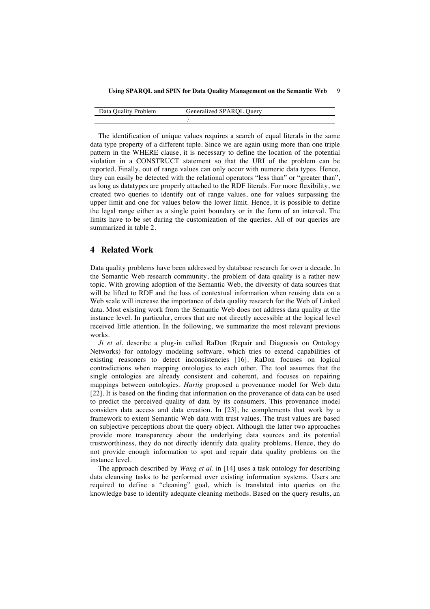| Data Quality Problem | Generalized SPARQL Query |
|----------------------|--------------------------|
|                      |                          |

The identification of unique values requires a search of equal literals in the same data type property of a different tuple. Since we are again using more than one triple pattern in the WHERE clause, it is necessary to define the location of the potential violation in a CONSTRUCT statement so that the URI of the problem can be reported. Finally, out of range values can only occur with numeric data types. Hence, they can easily be detected with the relational operators "less than" or "greater than", as long as datatypes are properly attached to the RDF literals. For more flexibility, we created two queries to identify out of range values, one for values surpassing the upper limit and one for values below the lower limit. Hence, it is possible to define the legal range either as a single point boundary or in the form of an interval. The limits have to be set during the customization of the queries. All of our queries are summarized in table 2.

# **4 Related Work**

Data quality problems have been addressed by database research for over a decade. In the Semantic Web research community, the problem of data quality is a rather new topic. With growing adoption of the Semantic Web, the diversity of data sources that will be lifted to RDF and the loss of contextual information when reusing data on a Web scale will increase the importance of data quality research for the Web of Linked data. Most existing work from the Semantic Web does not address data quality at the instance level. In particular, errors that are not directly accessible at the logical level received little attention. In the following, we summarize the most relevant previous works.

*Ji et al.* describe a plug-in called RaDon (Repair and Diagnosis on Ontology Networks) for ontology modeling software, which tries to extend capabilities of existing reasoners to detect inconsistencies [16]. RaDon focuses on logical contradictions when mapping ontologies to each other. The tool assumes that the single ontologies are already consistent and coherent, and focuses on repairing mappings between ontologies. *Hartig* proposed a provenance model for Web data [22]. It is based on the finding that information on the provenance of data can be used to predict the perceived quality of data by its consumers. This provenance model considers data access and data creation. In [23], he complements that work by a framework to extent Semantic Web data with trust values. The trust values are based on subjective perceptions about the query object. Although the latter two approaches provide more transparency about the underlying data sources and its potential trustworthiness, they do not directly identify data quality problems. Hence, they do not provide enough information to spot and repair data quality problems on the instance level.

The approach described by *Wang et al.* in [14] uses a task ontology for describing data cleansing tasks to be performed over existing information systems. Users are required to define a "cleaning" goal, which is translated into queries on the knowledge base to identify adequate cleaning methods. Based on the query results, an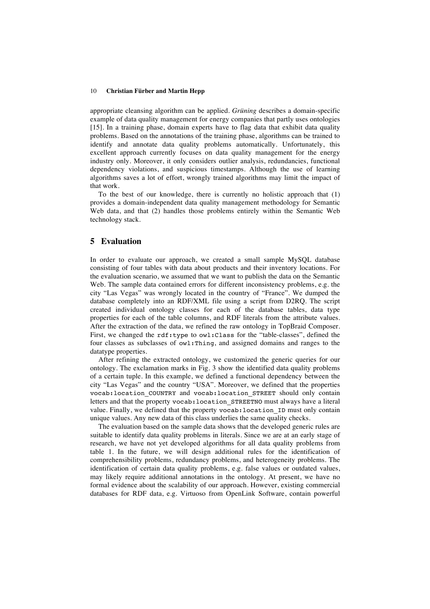appropriate cleansing algorithm can be applied. *Grüning* describes a domain-specific example of data quality management for energy companies that partly uses ontologies [15]. In a training phase, domain experts have to flag data that exhibit data quality problems. Based on the annotations of the training phase, algorithms can be trained to identify and annotate data quality problems automatically. Unfortunately, this excellent approach currently focuses on data quality management for the energy industry only. Moreover, it only considers outlier analysis, redundancies, functional dependency violations, and suspicious timestamps. Although the use of learning algorithms saves a lot of effort, wrongly trained algorithms may limit the impact of that work.

To the best of our knowledge, there is currently no holistic approach that (1) provides a domain-independent data quality management methodology for Semantic Web data, and that (2) handles those problems entirely within the Semantic Web technology stack.

## **5 Evaluation**

In order to evaluate our approach, we created a small sample MySQL database consisting of four tables with data about products and their inventory locations. For the evaluation scenario, we assumed that we want to publish the data on the Semantic Web. The sample data contained errors for different inconsistency problems, e.g. the city "Las Vegas" was wrongly located in the country of "France". We dumped the database completely into an RDF/XML file using a script from D2RQ. The script created individual ontology classes for each of the database tables, data type properties for each of the table columns, and RDF literals from the attribute values. After the extraction of the data, we refined the raw ontology in TopBraid Composer. First, we changed the rdf:type to  $ov1$ :Class for the "table-classes", defined the four classes as subclasses of owl:Thing, and assigned domains and ranges to the datatype properties.

After refining the extracted ontology, we customized the generic queries for our ontology. The exclamation marks in Fig. 3 show the identified data quality problems of a certain tuple. In this example, we defined a functional dependency between the city "Las Vegas" and the country "USA". Moreover, we defined that the properties vocab: location COUNTRY and vocab: location STREET should only contain letters and that the property vocab: location STREETNO must always have a literal value. Finally, we defined that the property vocab:location\_ID must only contain unique values. Any new data of this class underlies the same quality checks.

The evaluation based on the sample data shows that the developed generic rules are suitable to identify data quality problems in literals. Since we are at an early stage of research, we have not yet developed algorithms for all data quality problems from table 1. In the future, we will design additional rules for the identification of comprehensibility problems, redundancy problems, and heterogeneity problems. The identification of certain data quality problems, e.g. false values or outdated values, may likely require additional annotations in the ontology. At present, we have no formal evidence about the scalability of our approach. However, existing commercial databases for RDF data, e.g. Virtuoso from OpenLink Software, contain powerful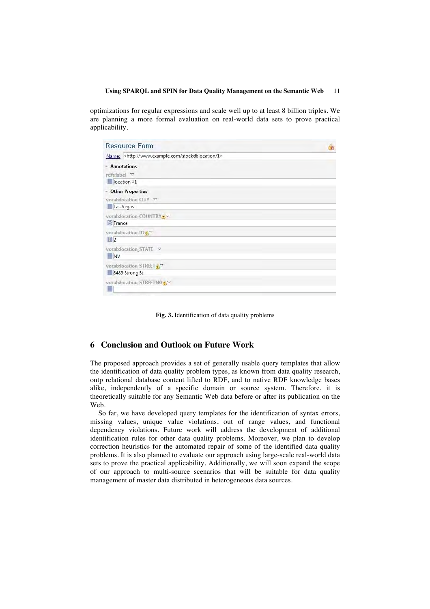#### **Using SPARQL and SPIN for Data Quality Management on the Semantic Web** 11

optimizations for regular expressions and scale well up to at least 8 billion triples. We are planning a more formal evaluation on real-world data sets to prove practical applicability.

| <b>Resource Form</b>                              | 圴 |
|---------------------------------------------------|---|
| Name: < http://www.example.com/stockdblocation/1> |   |
| <b>Annotations</b>                                |   |
| rdfslabel v                                       |   |
| location #1                                       |   |
| <b>Other Properties</b><br>×                      |   |
| vocabilocation $C\Gamma Y \nabla$                 |   |
| Las Vegas                                         |   |
| vocabilocation COUNTRY                            |   |
| <b>S</b> France                                   |   |
| vocablocation $ID_{A}$                            |   |
| $\overline{1}$ 2                                  |   |
| vocabilocation STATE $\triangledown$              |   |
| <b>NV</b>                                         |   |
| vocabilocation STREET                             |   |
| 8489 Strong St.                                   |   |
| vocabilocation_STREETNO <sub>A</sub>              |   |
|                                                   |   |

**Fig. 3.** Identification of data quality problems

# **6 Conclusion and Outlook on Future Work**

The proposed approach provides a set of generally usable query templates that allow the identification of data quality problem types, as known from data quality research, ontp relational database content lifted to RDF, and to native RDF knowledge bases alike, independently of a specific domain or source system. Therefore, it is theoretically suitable for any Semantic Web data before or after its publication on the Web.

So far, we have developed query templates for the identification of syntax errors, missing values, unique value violations, out of range values, and functional dependency violations. Future work will address the development of additional identification rules for other data quality problems. Moreover, we plan to develop correction heuristics for the automated repair of some of the identified data quality problems. It is also planned to evaluate our approach using large-scale real-world data sets to prove the practical applicability. Additionally, we will soon expand the scope of our approach to multi-source scenarios that will be suitable for data quality management of master data distributed in heterogeneous data sources.